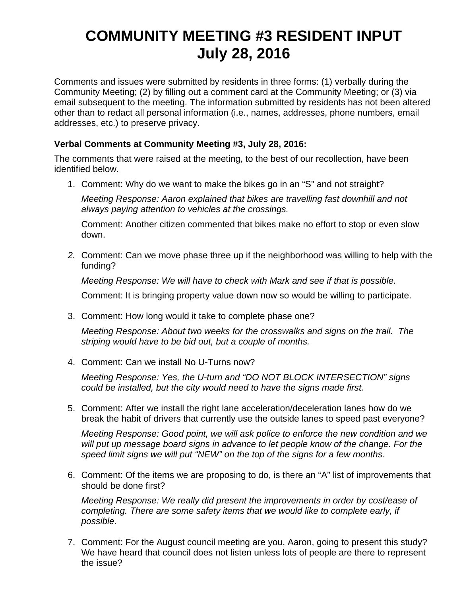# **COMMUNITY MEETING #3 RESIDENT INPUT July 28, 2016**

Comments and issues were submitted by residents in three forms: (1) verbally during the Community Meeting; (2) by filling out a comment card at the Community Meeting; or (3) via email subsequent to the meeting. The information submitted by residents has not been altered other than to redact all personal information (i.e., names, addresses, phone numbers, email addresses, etc.) to preserve privacy.

## **Verbal Comments at Community Meeting #3, July 28, 2016:**

The comments that were raised at the meeting, to the best of our recollection, have been identified below.

1. Comment: Why do we want to make the bikes go in an "S" and not straight?

*Meeting Response: Aaron explained that bikes are travelling fast downhill and not always paying attention to vehicles at the crossings.* 

 Comment: Another citizen commented that bikes make no effort to stop or even slow down.

*2.* Comment: Can we move phase three up if the neighborhood was willing to help with the funding?

*Meeting Response: We will have to check with Mark and see if that is possible.* 

Comment: It is bringing property value down now so would be willing to participate.

3. Comment: How long would it take to complete phase one?

*Meeting Response: About two weeks for the crosswalks and signs on the trail. The striping would have to be bid out, but a couple of months.* 

4. Comment: Can we install No U-Turns now?

*Meeting Response: Yes, the U-turn and "DO NOT BLOCK INTERSECTION" signs could be installed, but the city would need to have the signs made first.* 

5. Comment: After we install the right lane acceleration/deceleration lanes how do we break the habit of drivers that currently use the outside lanes to speed past everyone?

*Meeting Response: Good point, we will ask police to enforce the new condition and we*  will put up message board signs in advance to let people know of the change. For the *speed limit signs we will put "NEW" on the top of the signs for a few months.*

6. Comment: Of the items we are proposing to do, is there an "A" list of improvements that should be done first?

*Meeting Response: We really did present the improvements in order by cost/ease of completing. There are some safety items that we would like to complete early, if possible.* 

7. Comment: For the August council meeting are you, Aaron, going to present this study? We have heard that council does not listen unless lots of people are there to represent the issue?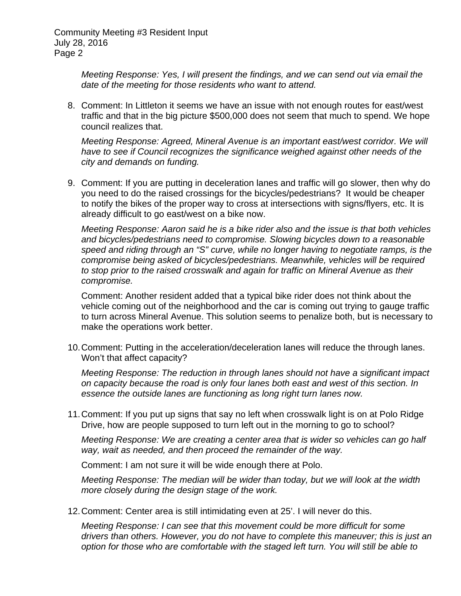> *Meeting Response: Yes, I will present the findings, and we can send out via email the date of the meeting for those residents who want to attend.*

8. Comment: In Littleton it seems we have an issue with not enough routes for east/west traffic and that in the big picture \$500,000 does not seem that much to spend. We hope council realizes that.

*Meeting Response: Agreed, Mineral Avenue is an important east/west corridor. We will have to see if Council recognizes the significance weighed against other needs of the city and demands on funding.* 

9. Comment: If you are putting in deceleration lanes and traffic will go slower, then why do you need to do the raised crossings for the bicycles/pedestrians? It would be cheaper to notify the bikes of the proper way to cross at intersections with signs/flyers, etc. It is already difficult to go east/west on a bike now.

*Meeting Response: Aaron said he is a bike rider also and the issue is that both vehicles and bicycles/pedestrians need to compromise. Slowing bicycles down to a reasonable speed and riding through an "S" curve, while no longer having to negotiate ramps, is the compromise being asked of bicycles/pedestrians. Meanwhile, vehicles will be required to stop prior to the raised crosswalk and again for traffic on Mineral Avenue as their compromise.* 

Comment: Another resident added that a typical bike rider does not think about the vehicle coming out of the neighborhood and the car is coming out trying to gauge traffic to turn across Mineral Avenue. This solution seems to penalize both, but is necessary to make the operations work better.

10. Comment: Putting in the acceleration/deceleration lanes will reduce the through lanes. Won't that affect capacity?

*Meeting Response: The reduction in through lanes should not have a significant impact on capacity because the road is only four lanes both east and west of this section. In essence the outside lanes are functioning as long right turn lanes now.* 

11. Comment: If you put up signs that say no left when crosswalk light is on at Polo Ridge Drive, how are people supposed to turn left out in the morning to go to school?

*Meeting Response: We are creating a center area that is wider so vehicles can go half way, wait as needed, and then proceed the remainder of the way.* 

Comment: I am not sure it will be wide enough there at Polo.

 *Meeting Response: The median will be wider than today, but we will look at the width more closely during the design stage of the work.* 

12. Comment: Center area is still intimidating even at 25'. I will never do this.

*Meeting Response: I can see that this movement could be more difficult for some drivers than others. However, you do not have to complete this maneuver; this is just an option for those who are comfortable with the staged left turn. You will still be able to*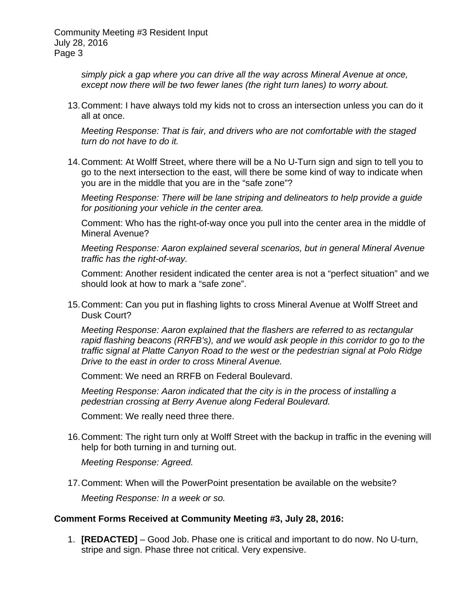> *simply pick a gap where you can drive all the way across Mineral Avenue at once, except now there will be two fewer lanes (the right turn lanes) to worry about.*

13. Comment: I have always told my kids not to cross an intersection unless you can do it all at once.

*Meeting Response: That is fair, and drivers who are not comfortable with the staged turn do not have to do it.* 

14. Comment: At Wolff Street, where there will be a No U-Turn sign and sign to tell you to go to the next intersection to the east, will there be some kind of way to indicate when you are in the middle that you are in the "safe zone"?

*Meeting Response: There will be lane striping and delineators to help provide a guide for positioning your vehicle in the center area.* 

 Comment: Who has the right-of-way once you pull into the center area in the middle of Mineral Avenue?

 *Meeting Response: Aaron explained several scenarios, but in general Mineral Avenue traffic has the right-of-way.* 

Comment: Another resident indicated the center area is not a "perfect situation" and we should look at how to mark a "safe zone".

15. Comment: Can you put in flashing lights to cross Mineral Avenue at Wolff Street and Dusk Court?

*Meeting Response: Aaron explained that the flashers are referred to as rectangular rapid flashing beacons (RRFB's), and we would ask people in this corridor to go to the traffic signal at Platte Canyon Road to the west or the pedestrian signal at Polo Ridge Drive to the east in order to cross Mineral Avenue.* 

Comment: We need an RRFB on Federal Boulevard.

 *Meeting Response: Aaron indicated that the city is in the process of installing a pedestrian crossing at Berry Avenue along Federal Boulevard.* 

Comment: We really need three there.

16. Comment: The right turn only at Wolff Street with the backup in traffic in the evening will help for both turning in and turning out.

*Meeting Response: Agreed.* 

17. Comment: When will the PowerPoint presentation be available on the website? *Meeting Response: In a week or so.* 

### **Comment Forms Received at Community Meeting #3, July 28, 2016:**

1. **[REDACTED]** – Good Job. Phase one is critical and important to do now. No U-turn, stripe and sign. Phase three not critical. Very expensive.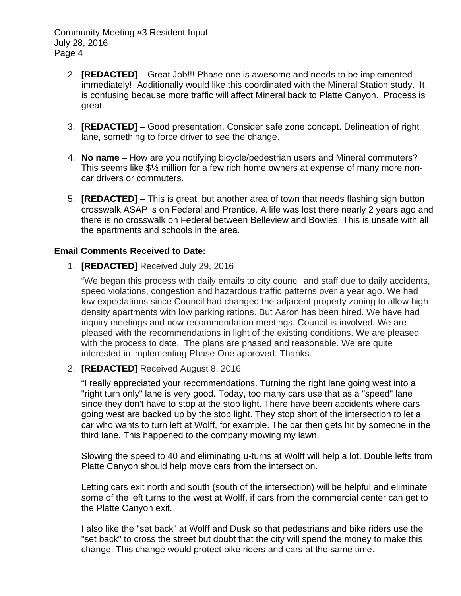- 2. **[REDACTED]** Great Job!!! Phase one is awesome and needs to be implemented immediately! Additionally would like this coordinated with the Mineral Station study. It is confusing because more traffic will affect Mineral back to Platte Canyon. Process is great.
- 3. **[REDACTED]** Good presentation. Consider safe zone concept. Delineation of right lane, something to force driver to see the change.
- 4. **No name** How are you notifying bicycle/pedestrian users and Mineral commuters? This seems like \$½ million for a few rich home owners at expense of many more noncar drivers or commuters.
- 5. **[REDACTED]**  This is great, but another area of town that needs flashing sign button crosswalk ASAP is on Federal and Prentice. A life was lost there nearly 2 years ago and there is no crosswalk on Federal between Belleview and Bowles. This is unsafe with all the apartments and schools in the area.

### **Email Comments Received to Date:**

1. **[REDACTED]** Received July 29, 2016

"We began this process with daily emails to city council and staff due to daily accidents, speed violations, congestion and hazardous traffic patterns over a year ago. We had low expectations since Council had changed the adjacent property zoning to allow high density apartments with low parking rations. But Aaron has been hired. We have had inquiry meetings and now recommendation meetings. Council is involved. We are pleased with the recommendations in light of the existing conditions. We are pleased with the process to date. The plans are phased and reasonable. We are quite interested in implementing Phase One approved. Thanks.

### 2. **[REDACTED]** Received August 8, 2016

"I really appreciated your recommendations. Turning the right lane going west into a "right turn only" lane is very good. Today, too many cars use that as a "speed" lane since they don't have to stop at the stop light. There have been accidents where cars going west are backed up by the stop light. They stop short of the intersection to let a car who wants to turn left at Wolff, for example. The car then gets hit by someone in the third lane. This happened to the company mowing my lawn.

Slowing the speed to 40 and eliminating u-turns at Wolff will help a lot. Double lefts from Platte Canyon should help move cars from the intersection.

Letting cars exit north and south (south of the intersection) will be helpful and eliminate some of the left turns to the west at Wolff, if cars from the commercial center can get to the Platte Canyon exit.

I also like the "set back" at Wolff and Dusk so that pedestrians and bike riders use the "set back" to cross the street but doubt that the city will spend the money to make this change. This change would protect bike riders and cars at the same time.